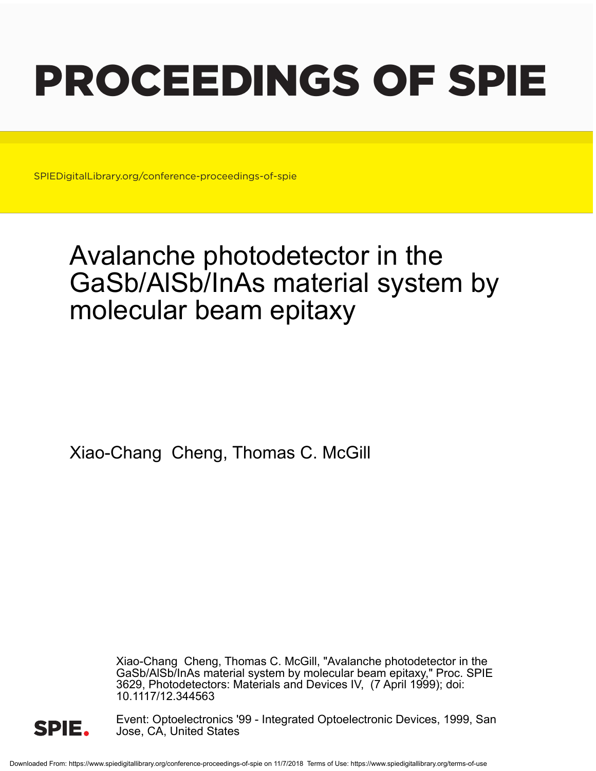# PROCEEDINGS OF SPIE

SPIEDigitalLibrary.org/conference-proceedings-of-spie

## Avalanche photodetector in the GaSb/AlSb/InAs material system by molecular beam epitaxy

Xiao-Chang Cheng, Thomas C. McGill

Xiao-Chang Cheng, Thomas C. McGill, "Avalanche photodetector in the GaSb/AlSb/InAs material system by molecular beam epitaxy," Proc. SPIE 3629, Photodetectors: Materials and Devices IV, (7 April 1999); doi: 10.1117/12.344563



Event: Optoelectronics '99 - Integrated Optoelectronic Devices, 1999, San Jose, CA, United States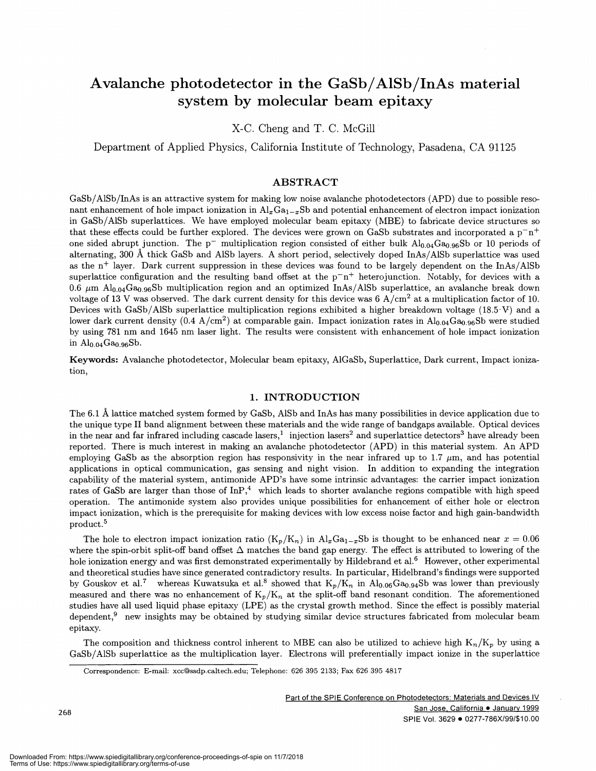### Avalanche photodetector in the GaSb/A1Sb/InAs material system by molecular beam epitaxy

x-c. Cheng and T. C. McGill•

Department of Applied Physics, California Institute of Technology, Pasadena, CA 91125

#### ABSTRACT

GaSb/AlSb/InAs is an attractive system for making low noise avalanche photodetectors (APD) due to possible resonant enhancement of hole impact ionization in  $Al_xGa_{1-x}Sb$  and potential enhancement of electron impact ionization in GaSb/A1Sb superlattices. We have employed molecular beam epitaxy (MBE) to fabricate device structures so that these effects could be further explored. The devices were grown on GaSb substrates and incorporated a  $p^-n^+$ one sided abrupt junction. The  $p^-$  multiplication region consisted of either bulk  $Al_{0.04}Ga_{0.96}Sb$  or 10 periods of alternating, 300 A thick GaSb and A1Sb layers. A short period, selectively doped InAs/AlSb superlattice was used as the  $n^+$  layer. Dark current suppression in these devices was found to be largely dependent on the InAs/AlSb superlattice configuration and the resulting band offset at the  $p^-n^+$  heterojunction. Notably, for devices with a 0.6  $\mu$ m Al<sub>0.04</sub>Ga<sub>0.96</sub>Sb multiplication region and an optimized InAs/AlSb superlattice, an avalanche break down voltage of 13 V was observed. The dark current density for this device was 6  $A/cm^2$  at a multiplication factor of 10. Devices with GaSb/AlSb superlattice multiplication regions exhibited a higher breakdown voltage (18.5 V) and a lower dark current density (0.4 A/cm<sup>2</sup>) at comparable gain. Impact ionization rates in  $Al_{0.04}Ga_{0.96}Sb$  were studied by using 781 nm and 1645 nm laser light. The results were consistent with enhancement of hole impact ionization in  $Al_{0.04}Ga_{0.96}Sb$ .

Keywords: Avalanche photodetector, Molecular beam epitaxy, AlGaSb, Superlattice, Dark current, Impact ionization,

#### 1. INTRODUCTION

The 6.1 A lattice matched system formed by GaSb, AlSb and InAs has many possibilities in device application due to the unique type II band alignment between these materials and the wide range of bandgaps available. Optical devices in the near and far infrared including cascade lasers,<sup>1</sup> injection lasers<sup>2</sup> and superlattice detectors<sup>3</sup> have already been reported. There is much interest in making an avalanche photodetector (APD) in this material system. An APD employing GaSb as the absorption region has responsivity in the near infrared up to 1.7  $\mu$ m, and has potential applications in optical communication, gas sensing and night vision. In addition to expanding the integration capability of the material system, antimonide APD's have some intrinsic advantages: the carrier impact ionization rates of GaSb are larger than those of  $\text{InP}^{4}$ , which leads to shorter avalanche regions compatible with high speed operation. The antimonide system also provides unique possibilities for enhancement of either hole or electron impact ionization, which is the prerequisite for making devices with low excess noise factor and high gain—bandwidth product.5

The hole to electron impact ionization ratio  $(K_p/K_n)$  in  $Al_xGa_{1-x}Sb$  is thought to be enhanced near  $x = 0.06$ where the spin-orbit split-off band offset  $\Delta$  matches the band gap energy. The effect is attributed to lowering of the hole ionization energy and was first demonstrated experimentally by Hildebrand et al.<sup>6</sup> However, other experimental and theoretical studies have since generated contradictory results. In particular, Hidelbrand's findings were supported by Gouskov et al.<sup>7</sup> whereas Kuwatsuka et al.<sup>8</sup> showed that  $K_p/K_n$  in Al<sub>0.06</sub>Ga<sub>0.94</sub>Sb was lower than previously measured and there was no enhancement of  $K_p/K_n$  at the split-off band resonant condition. The aforementioned studies have all used liquid phase epitaxy (LPE) as the crystal growth method. Since the effect is possibly material dependent,<sup>9</sup> new insights may be obtained by studying similar device structures fabricated from molecular beam epitaxy.

The composition and thickness control inherent to MBE can also be utilized to achieve high  $K_n/K_p$  by using a GaSb/AlSb superlattice as the multiplication layer. Electrons will preferentially impact ionize in the superlattice

Correspondence: E-mail: xcc@ssdp.caltech.edu; Telephone: 626 395 2133; Fax 626 395 4817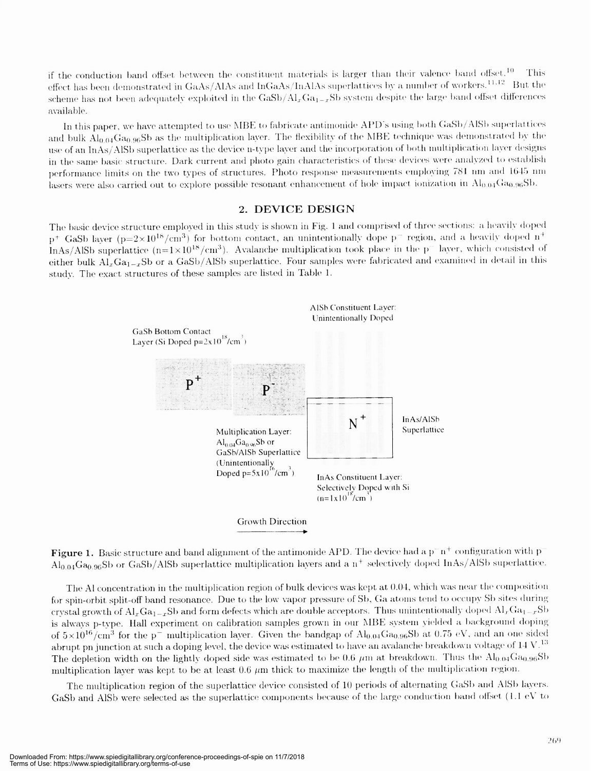if the conduction band offset between the constituent materials is larger than their valence band offset.<sup>10</sup> This effect has been demonstrated in GaAs/AlAs and InGaAs/InAlAs superlattices by a number of workers.  $^{11,12}$  But the scheme has not been adequately exploited in the  $GaSb/Al_xGa_{1-x}Sb$  system despite the large band offset differences available

In this paper, we have attempted to use MBE to fabricate antimonide APD's using both GaSh/AlSh superlattices and bulk  $\text{Al}_{0.04}\text{Ga}_{0.96}\text{Sb}$  as the multiplication layer. The flexibility of the MBE technique was demonstrated by the use of an InAs/AlSb superlattice as the device n-type layer and the incorporation of both multiplication layer designs in the same basic structure. Dark current and photo gain characteristics of these devices were analyzed to establish performance limits on the two types of structures. Photo response measurements employing 781 nm and 1645 nm lasers were also carried out to explore possible resonant enhancement of hole impact ionization in  $\rm Al_{0.04}Ga_{0.96}Sb$ .

#### 2. DEVICE DESIGN

The basic device structure employed in this study is shown in Fig. 1 and comprised of three sections: a heavily doped  $p^+$  GaSb layer ( $p=2\times10^{18}/cm^3$ ) for bottom contact, an unintentionally dope  $p^-$  region, and a heavily doped  $n^+$ InAs/AlSb superlattice  $(n=1 \times 10^{18}/\text{cm}^3)$ . Avalanche multiplication took place in the p<sup>-</sup> layer, which consisted of either bulk  $Al_xGa_{1-x}Sb$  or a GaSb/AlSb superlattice. Four samples were fabricated and examined in detail in this study. The exact structures of these samples are listed in Table 1.



Figure 1. Basic structure and band alignment of the antimonide APD. The device had a  $p^-n^+$  configuration with p  $\text{Al}_{0.04}\text{Ga}_{0.96}\text{Sb}$  or GaSb/AlSb superlattice multiplication layers and a n<sup>+</sup> selectively doped InAs/AlSb superlattice.

The Al concentration in the multiplication region of bulk devices was kept at 0.04, which was near the composition for spin-orbit split-off band resonance. Due to the low vapor pressure of Sb, Ga atoms tend to occupy Sb sites during crystal growth of  $Al_xGa_{1-x}Sb$  and form defects which are double acceptors. Thus unintentionally doped  $Al_xGa_{1-x}Sb$ is always p-type. Hall experiment on calibration samples grown in our MBE system yielded a background doping of  $5 \times 10^{16}/\text{cm}^3$  for the p<sup>-</sup> multiplication layer. Given the bandgap of Al<sub>0.04</sub>Ga<sub>0.96</sub>Sb at 0.75 eV, and an one sided abrupt pn junction at such a doping level, the device was estimated to have an avalanche breakdown voltage of  $14$  V.<sup>13</sup> The depletion width on the lightly doped side was estimated to be 0.6  $\mu$ m at breakdown. Thus the Al<sub>0.04</sub>Ga<sub>0.96</sub>Sb multiplication layer was kept to be at least 0.6  $\mu$ m thick to maximize the length of the multiplication region.

The multiplication region of the superlattice device consisted of 11) periods of alternating GaSh and AISh layers. GaSb and AISb were selected as the superlattice components because of the large conduction band offset  $(1.1 \text{ eV to } 1.1 \text{ eV})$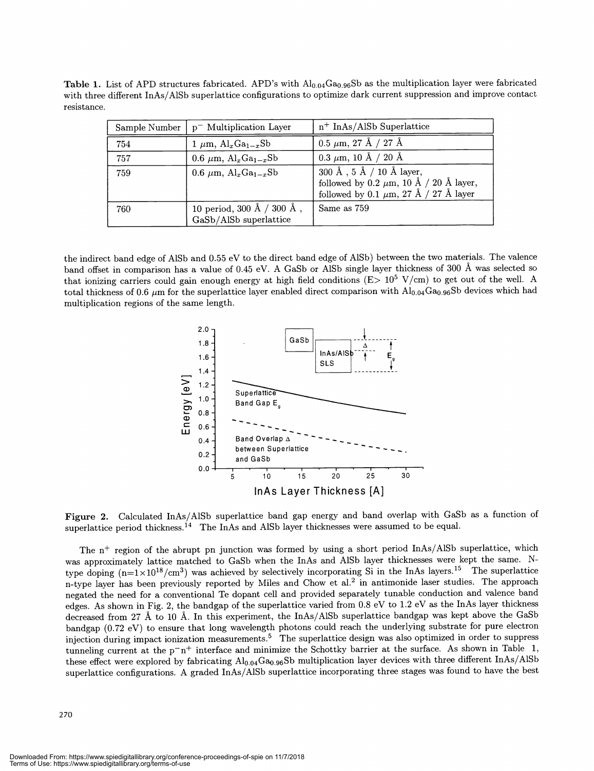Table 1. List of APD structures fabricated. APD's with  $Al_{0.04}Ga_{0.96}Sb$  as the multiplication layer were fabricated with three different InAs/AlSb superlattice configurations to optimize dark current suppression and improve contact resistance.

| Sample Number | $p^-$ Multiplication Layer                          | $n^+$ InAs/AlSb Superlattice                                                                                          |
|---------------|-----------------------------------------------------|-----------------------------------------------------------------------------------------------------------------------|
| 754           | $1 \mu m$ , Al <sub>x</sub> Ga <sub>1-x</sub> Sb    | $0.5 \mu m$ , 27 Å / 27 Å                                                                                             |
| 757           | 0.6 $\mu$ m, Al <sub>x</sub> Ga <sub>1-x</sub> Sb   | $0.3 \mu m$ , 10 Å / 20 Å                                                                                             |
| 759           | 0.6 $\mu$ m, Al <sub>x</sub> Ga <sub>1-x</sub> Sb   | 300 Å, 5 Å / 10 Å layer,<br>followed by 0.2 $\mu$ m, 10 Å / 20 Å layer,<br>followed by 0.1 $\mu$ m, 27 Å / 27 Å layer |
| 760           | 10 period, 300 Å / 300 Å,<br>GaSb/AlSb superlattice | Same as 759                                                                                                           |

the indirect band edge of A1Sb and 0.55 eV to the direct band edge of A1Sb) between the two materials. The valence band offset in comparison has a value of 0.45 eV. A GaSb or A1Sb single layer thickness of 300 A was selected so that ionizing carriers could gain enough energy at high field conditions ( $E>10^5$  V/cm) to get out of the well. A total thickness of 0.6  $\mu$ m for the superlattice layer enabled direct comparison with Al<sub>0.04</sub>Ga<sub>0.96</sub>Sb devices which had multiplication regions of the same length.



Figure 2. Calculated InAs/A1Sb superlattice band gap energy and band overlap with GaSb as a function of superlattice period thickness.<sup>14</sup> The InAs and AlSb layer thicknesses were assumed to be equal.

The  $n^+$  region of the abrupt pn junction was formed by using a short period InAs/AlSb superlattice, which was approximately lattice matched to GaSb when the InAs and AlSb layer thicknesses were kept the same. Ntype doping  $(n=1\times10^{18}/cm^3)$  was achieved by selectively incorporating Si in the InAs layers.<sup>15</sup> The superlattice n-type layer has been previously reported by Miles and Chow et al.<sup>2</sup> in antimonide laser studies. The approach negated the need for a conventional Te dopant cell and provided separately tunable conduction and valence band edges. As shown in Fig. 2, the bandgap of the superlattice varied from 0.8 eV to 1.2 eV as the InAs layer thickness decreased from 27 A to 10 A. In this experiment, the InAs/A1Sb superlattice bandgap was kept above the GaSb bandgap (0.72 eV) to ensure that long wavelength photons could reach the underlying substrate for pure electron injection during impact ionization measurements.<sup>5</sup> The superlattice design was also optimized in order to suppress tunneling current at the  $p^-n^+$  interface and minimize the Schottky barrier at the surface. As shown in Table 1, these effect were explored by fabricating  $Al_{0.04}Ga_{0.96}Sb$  multiplication layer devices with three different InAs/AlSb superlattice configurations. A graded InAs/A1Sb superlattice incorporating three stages was found to have the best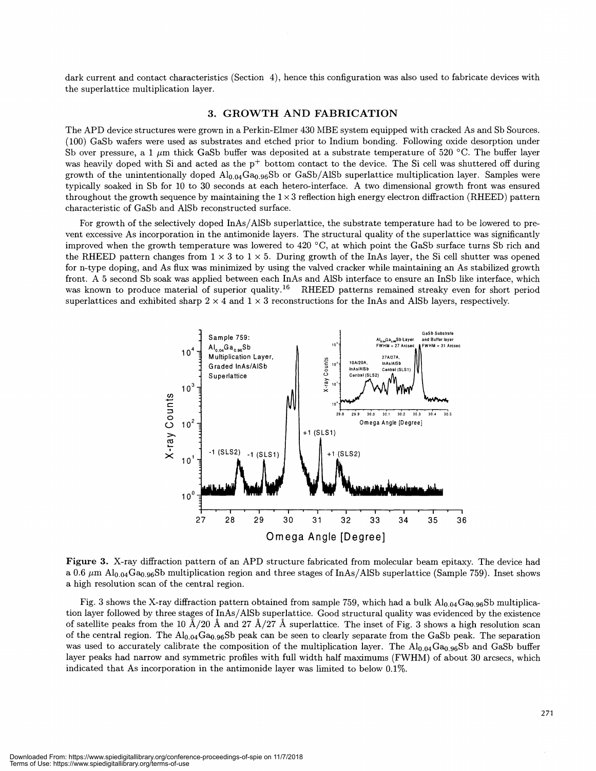dark current and contact characteristics (Section 4), hence this configuration was also used to fabricate devices with the superlattice multiplication layer.

#### 3. GROWTH AND FABRICATION

The APD device structures were grown in a Perkin-Elmer 430 MBE system equipped with cracked As and Sb Sources. (100) GaSb wafers were used as substrates and etched prior to Indium bonding. Following oxide desorption under Sb over pressure, a 1  $\mu$ m thick GaSb buffer was deposited at a substrate temperature of 520 °C. The buffer layer was heavily doped with Si and acted as the  $p^+$  bottom contact to the device. The Si cell was shuttered off during growth of the unintentionally doped  $A_{0.04}Ga_{0.96}Sb$  or GaSb/AlSb superlattice multiplication layer. Samples were typically soaked in Sb for 10 to 30 seconds at each hetero-interface. A two dimensional growth front was ensured throughout the growth sequence by maintaining the  $1 \times 3$  reflection high energy electron diffraction (RHEED) pattern characteristic of GaSb and A1Sb reconstructed surface.

For growth of the selectively doped InAs/AlSb superlattice, the substrate temperature had to be lowered to prevent excessive As incorporation in the antimonide layers. The structural quality of the superlattice was significantly improved when the growth temperature was lowered to 420 °C, at which point the GaSb surface turns Sb rich and the RHEED pattern changes from  $1 \times 3$  to  $1 \times 5$ . During growth of the InAs layer, the Si cell shutter was opened for n-type doping, and As flux was minimized by using the valved cracker while maintaining an As stabilized growth front. A 5 second Sb soak was applied between each InAs and AlSb interface to ensure an InSb like interface, which was known to produce material of superior quality.<sup>16</sup> RHEED patterns remained streaky even for short period superlattices and exhibited sharp  $2 \times 4$  and  $1 \times 3$  reconstructions for the InAs and AlSb layers, respectively.



Figure 3. X-ray diffraction pattern of an APD structure fabricated from molecular beam epitaxy. The device had a 0.6  $\mu$ m Al<sub>0.04</sub>Ga<sub>0.96</sub>Sb multiplication region and three stages of InAs/AlSb superlattice (Sample 759). Inset shows a high resolution scan of the central region.

Fig. 3 shows the X-ray diffraction pattern obtained from sample 759, which had a bulk  $Al_{0.04}Ga_{0.96}Sb$  multiplication layer followed by three stages of InAs/AlSb superlattice. Good structural quality was evidenced by the existence of satellite peaks from the 10  $\AA/20$  Å and 27  $\AA/27$  Å superlattice. The inset of Fig. 3 shows a high resolution scan of the central region. The  $\text{Al}_{0.04}\text{Ga}_{0.96}\text{Sb}$  peak can be seen to clearly separate from the GaSb peak. The separation was used to accurately calibrate the composition of the multiplication layer. The  $Al_{0.04}Ga_{0.96}Sb$  and GaSb buffer layer peaks had narrow and symmetric profiles with full width half maximums (FWHM) of about 30 arcsecs, which indicated that As incorporation in the antimonide layer was limited to below 0.1%.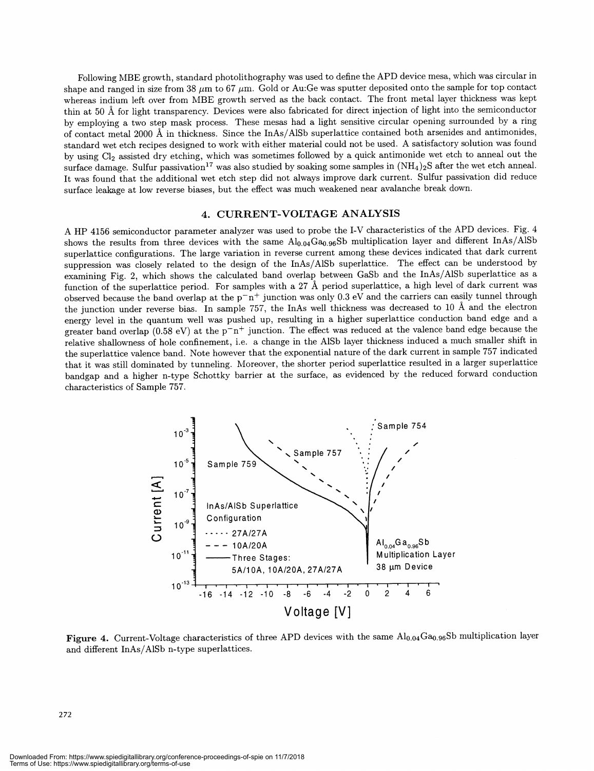Following MBE growth, standard photolithography was used to define the AFD device mesa, which was circular in shape and ranged in size from 38  $\mu$ m to 67  $\mu$ m. Gold or Au:Ge was sputter deposited onto the sample for top contact whereas indium left over from MBE growth served as the back contact. The front metal layer thickness was kept thin at 50 A for light transparency. Devices were also fabricated for direct injection of light into the semiconductor by employing a two step mask process. These mesas had a light sensitive circular opening surrounded by a ring of contact metal 2000 A in thickness. Since the InAs/A1Sb superlattice contained both arsenides and antimonides, standard wet etch recipes designed to work with either material could not be used. A satisfactory solution was found by using Cl2 assisted dry etching, which was sometimes followed by a quick antimonide wet etch to anneal out the surface damage. Sulfur passivation<sup>17</sup> was also studied by soaking some samples in  $(NH<sub>4</sub>)<sub>2</sub>S$  after the wet etch anneal. It was found that the additional wet etch step did not always improve dark current. Sulfur passivation did reduce surface leakage at low reverse biases, but the effect was much weakened near avalanche break down.

#### 4. CURRENT-VOLTAGE ANALYSIS

A HP 4156 semiconductor parameter analyzer was used to probe the I-V characteristics of the APD devices. Fig. 4 shows the results from three devices with the same  $\text{Al}_{0.04}\text{Ga}_{0.96}\text{Sb}$  multiplication layer and different InAs/AlSb superlattice configurations. The large variation in reverse current among these devices indicated that dark current suppression was closely related to the design of the InAs/A1Sb superlattice. The effect can be understood by examining Fig. 2, which shows the calculated band overlap between GaSb and the InAs/AlSb superlattice as a function of the superlattice period. For samples with a 27 A period superlattice, a high level of dark current was observed because the band overlap at the  $p-n+$  junction was only 0.3 eV and the carriers can easily tunnel through the junction under reverse bias. In sample 757, the InAs well thickness was decreased to 10 A and the electron energy level in the quantum well was pushed up, resulting in a higher superlattice conduction band edge and a greater band overlap (0.58 eV) at the  $p-n+$  junction. The effect was reduced at the valence band edge because the relative shallowness of hole confinement, i.e. a change in the AlSb layer thickness induced a much smaller shift in the superlattice valence band. Note however that the exponential nature of the dark current in sample 757 indicated that it was still dominated by tunneling. Moreover, the shorter period superlattice resulted in a larger superlattice bandgap and a higher n-type Schottky barrier at the surface, as evidenced by the reduced forward conduction characteristics of Sample 757.



Figure 4. Current-Voltage characteristics of three APD devices with the same  $\text{Al}_{0.04} \text{Ga}_{0.96}$ Sb multiplication layer and different InAs/AlSb n-type superlattices.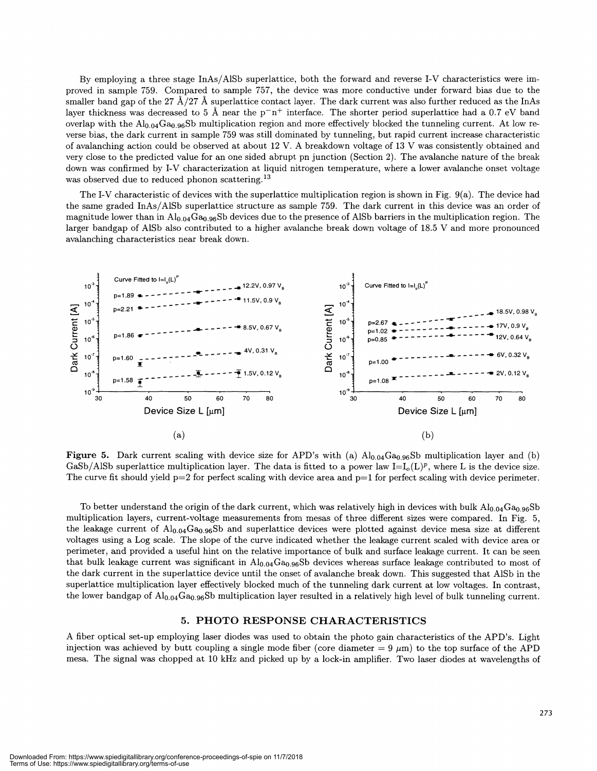By employing a three stage InAs/A1Sb superlattice, both the forward and reverse I-V characteristics were improved in sample 759. Compared to sample 757, the device was more conductive under forward bias due to the smaller band gap of the 27  $\AA/27 \AA$  superlattice contact layer. The dark current was also further reduced as the InAs layer thickness was decreased to 5 Å near the  $p^-n^+$  interface. The shorter period superlattice had a 0.7 eV band overlap with the  $Al_{0.04}Ga_{0.96}Sb$  multiplication region and more effectively blocked the tunneling current. At low reverse bias, the dark current in sample 759 was still dominated by tunneling, but rapid current increase characteristic of avalanching action could be observed at about 12 V. A breakdown voltage of 13 V was consistently obtained and very close to the predicted value for an one sided abrupt pn junction (Section 2). The avalanche nature of the break down was confirmed by I-V characterization at liquid nitrogen temperature, where a lower avalanche onset voltage was observed due to reduced phonon scattering.<sup>13</sup>

The I-V characteristic of devices with the superlattice multiplication region is shown in Fig. 9(a). The device had the same graded InAs/AlSb superlattice structure as sample 759. The dark current in this device was an order of magnitude lower than in  $A_{0.04}Ga_{0.96}Sb$  devices due to the presence of AlSb barriers in the multiplication region. The larger bandgap of AlSb also contributed to a higher avalanche break down voltage of 18.5 V and more pronounced avalanching characteristics near break down.



Figure 5. Dark current scaling with device size for APD's with (a)  $Al_{0.04}Ga_{0.96}Sb$  multiplication layer and (b) GaSb/AlSb superlattice multiplication layer. The data is fitted to a power law  $I=I_0(L)^p$ , where L is the device size. The curve fit should yield  $p=2$  for perfect scaling with device area and  $p=1$  for perfect scaling with device perimeter.

To better understand the origin of the dark current, which was relatively high in devices with bulk  $Al_{0.04}Ga_{0.96}Sb$ multiplication layers, current-voltage measurements from mesas of three different sizes were compared. In Fig. 5, the leakage current of  $Al_{0.04}Ga_{0.96}Sb$  and superlattice devices were plotted against device mesa size at different voltages using a Log scale. The slope of the curve indicated whether the leakage current scaled with device area or perimeter, and provided a useful hint on the relative importance of bulk and surface leakage current. It can be seen that bulk leakage current was significant in  $\text{Al}_{0.94}\text{Ga}_{0.96}\text{S}$ b devices whereas surface leakage contributed to most of the dark current in the superlattice device until the onset of avalanche break down. This suggested that AlSb in the superlattice multiplication layer effectively blocked much of the tunneling dark current at low voltages. In contrast, the lower bandgap of  $\text{Al}_{0.04}\text{Ga}_{0.96}\text{Sb}$  multiplication layer resulted in a relatively high level of bulk tunneling current.

#### 5. PHOTO RESPONSE CHARACTERISTICS

A fiber optical set-up employing laser diodes was used to obtain the photo gain characteristics of the APD's. Light injection was achieved by butt coupling a single mode fiber (core diameter  $=9 \mu m$ ) to the top surface of the APD mesa. The signal was chopped at 10 kHz and picked up by a lock-in amplifier. Two laser diodes at wavelengths of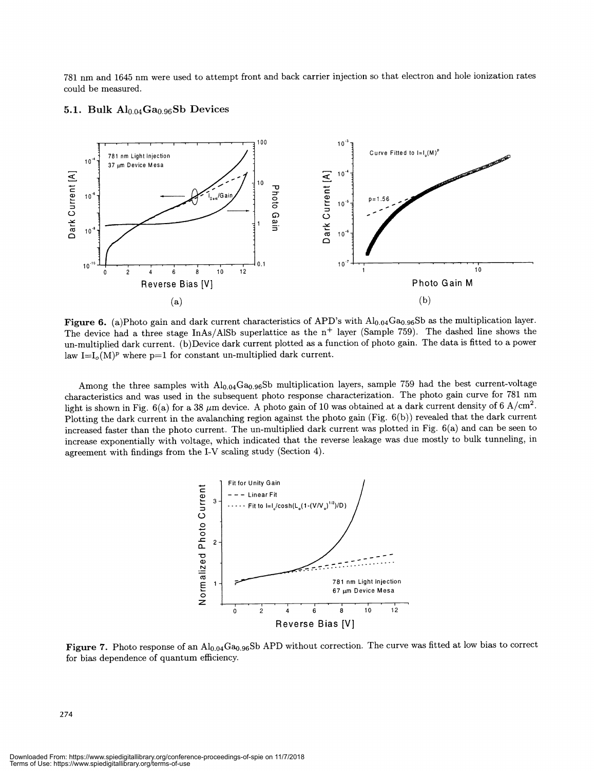781 nm and 1645 nm were used to attempt front and back carrier injection so that electron and hole ionization rates could be measured.





Figure 6. (a)Photo gain and dark current characteristics of APD's with  $\text{Al}_{0.04}\text{Ga}_{0.96}\text{Sb}$  as the multiplication layer. The device had a three stage InAs/AlSb superlattice as the  $n^+$  layer (Sample 759). The dashed line shows the un-multiplied dark current. (b)Device dark current plotted as a function of photo gain. The data is fitted to a power law I=I<sub>0</sub>(M)<sup>p</sup> where p=1 for constant un-multiplied dark current.

Among the three samples with  $Al_{0.04}Ga_{0.96}Sb$  multiplication layers, sample 759 had the best current-voltage characteristics and was used in the subsequent photo response characterization. The photo gain curve for 781 nm light is shown in Fig. 6(a) for a 38  $\mu$ m device. A photo gain of 10 was obtained at a dark current density of 6 A/cm<sup>2</sup>. Plotting the dark current in the avalanching region against the photo gain (Fig. 6(b)) revealed that the dark current increased faster than the photo current. The un-multiplied dark current was plotted in Fig. 6(a) and can be seen to increase exponentially with voltage, which indicated that the reverse leakage was due mostly to bulk tunneling, in agreement with findings from the 1-V scaling study (Section 4).



Figure 7. Photo response of an  $Al_{0.04}Ga_{0.96}Sb$  APD without correction. The curve was fitted at low bias to correct for bias dependence of quantum efficiency.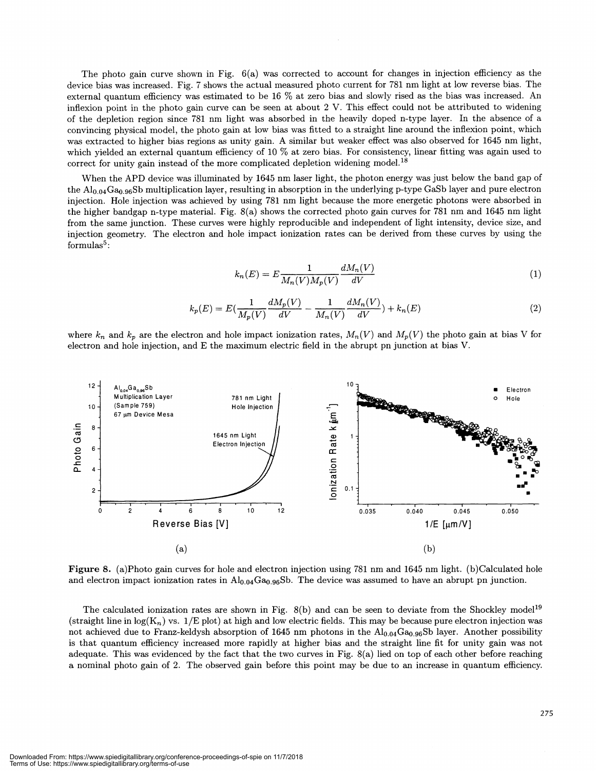The photo gain curve shown in Fig. 6(a) was corrected to account for changes in injection efficiency as the device bias was increased. Fig. 7 shows the actual measured photo current for 781 nm light at low reverse bias. The external quantum efficiency was estimated to be 16 % at zero bias and slowly rised as the bias was increased. An inflexion point in the photo gain curve can be seen at about 2 V. This effect could not be attributed to widening of the depletion region since 781 nm light was absorbed in the heavily doped n-type layer. In the absence of a convincing physical model, the photo gain at low bias was fitted to a straight line around the infiexion point, which was extracted to higher bias regions as unity gain. A similar but weaker effect was also observed for 1645 nm light, which yielded an external quantum efficiency of 10 % at zero bias. For consistency, linear fitting was again used to correct for unity gain instead of the more complicated depletion widening model.<sup>18</sup>

When the APD device was illuminated by 1645 nm laser light, the photon energy was just below the band gap of the  $Al_{0.04}Ga_{0.96}Sb$  multiplication layer, resulting in absorption in the underlying p-type GaSb layer and pure electron injection. Hole injection was achieved by using 781 nm light because the more energetic photons were absorbed in the higher bandgap n-type material. Fig. 8(a) shows the corrected photo gain curves for 781 nm and 1645 nm light from the same junction. These curves were highly reproducible and independent of light intensity, device size, and injection geometry. The electron and hole impact ionization rates can be derived from these curves by using the formulas $5$ :

$$
k_n(E) = E \frac{1}{M_n(V)M_p(V)} \frac{dM_n(V)}{dV}
$$
\n<sup>(1)</sup>

$$
k_p(E) = E\left(\frac{1}{M_p(V)}\frac{dM_p(V)}{dV} - \frac{1}{M_n(V)}\frac{dM_n(V)}{dV}\right) + k_n(E)
$$
\n(2)

where  $k_n$  and  $k_p$  are the electron and hole impact ionization rates,  $M_n(V)$  and  $M_p(V)$  the photo gain at bias V for electron and hole injection, and E the maximum electric field in the abrupt pn junction at bias V.



Figure 8. (a)Photo gain curves for hole and electron injection using 781 nm and 1645 nm light. (b)Calculated hole and electron impact ionization rates in  $\text{Al}_{0.94}\text{Ga}_{0.96}\text{Sb}$ . The device was assumed to have an abrupt pn junction.

The calculated ionization rates are shown in Fig.  $8(b)$  and can be seen to deviate from the Shockley model<sup>19</sup> (straight line in  $log(K_n)$  vs.  $1/E$  plot) at high and low electric fields. This may be because pure electron injection was not achieved due to Franz-keldysh absorption of 1645 nm photons in the  $Al_{0.04}Ga_{0.96}Sb$  layer. Another possibility is that quantum efficiency increased more rapidly at higher bias and the straight line fit for unity gain was not adequate. This was evidenced by the fact that the two curves in Fig. 8(a) lied on top of each other before reaching a nominal photo gain of 2. The observed gain before this point may be due to an increase in quantum efficiency.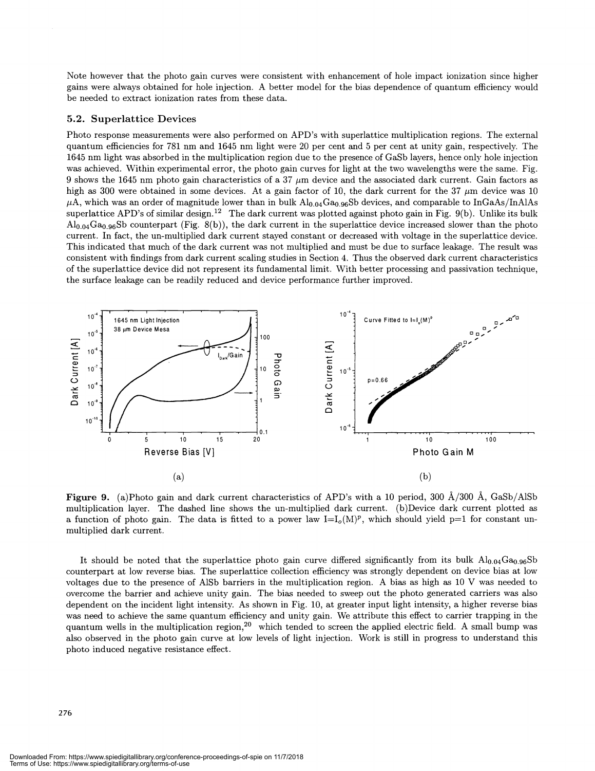Note however that the photo gain curves were consistent with enhancement of hole impact ionization since higher gains were always obtained for hole injection. A better model for the bias dependence of quantum efficiency would be needed to extract ionization rates from these data.

#### 5.2. Superlattice Devices

Photo response measurements were also performed on APD's with superlattice multiplication regions. The external quantum efficiencies for 781 nm and 1645 nm light were 20 per cent and 5 per cent at unity gain, respectively. The 1645 nm light was absorbed in the multiplication region due to the presence of GaSb layers, hence only hole injection was achieved. Within experimental error, the photo gain curves for light at the two wavelengths were the same. Fig. 9 shows the 1645 nm photo gain characteristics of a 37  $\mu$ m device and the associated dark current. Gain factors as high as 300 were obtained in some devices. At a gain factor of 10, the dark current for the  $37 \mu m$  device was 10  $\mu$ A, which was an order of magnitude lower than in bulk Al<sub>0.04</sub>Ga<sub>0.96</sub>Sb devices, and comparable to InGaAs/InAlAs superlattice APD's of similar design.<sup>12</sup> The dark current was plotted against photo gain in Fig.  $9(b)$ . Unlike its bulk  $\text{Al}_{0.04}\text{Ga}_{0.96}\text{Sb}$  counterpart (Fig. 8(b)), the dark current in the superlattice device increased slower than the photo current. In fact, the un-multiplied dark current stayed constant or decreased with voltage in the superlattice device. This indicated that much of the dark current was not multiplied and must be due to surface leakage. The result was consistent with findings from dark current scaling studies in Section 4. Thus the observed dark current characteristics of the superlattice device did not represent its fundamental limit. With better processing and passivation technique, the surface leakage can be readily reduced and device performance further improved.



**Figure 9.** (a)Photo gain and dark current characteristics of APD's with a 10 period, 300  $\AA$ /300  $\AA$ , GaSb/AlSb multiplication layer. The dashed line shows the un-multiplied dark current. (b)Device dark current plotted as a function of photo gain. The data is fitted to a power law  $I=I_o(M)^p$ , which should yield p=1 for constant unmultiplied dark current.

It should be noted that the superlattice photo gain curve differed significantly from its bulk  $Al_{0.04}Ga_{0.96}Sb$ counterpart at low reverse bias. The superlattice collection efficiency was strongly dependent on device bias at low voltages due to the presence of AlSb barriers in the multiplication region. A bias as high as 10 V was needed to overcome the barrier and achieve unity gain. The bias needed to sweep out the photo generated carriers was also dependent on the incident light intensity. As shown in Fig. 10, at greater input light intensity, a higher reverse bias was need to achieve the same quantum efficiency and unity gain. We attribute this effect to carrier trapping in the quantum wells in the multiplication region,<sup>20</sup> which tended to screen the applied electric field. A small bump was also observed in the photo gain curve at low levels of light injection. Work is still in progress to understand this photo induced negative resistance effect.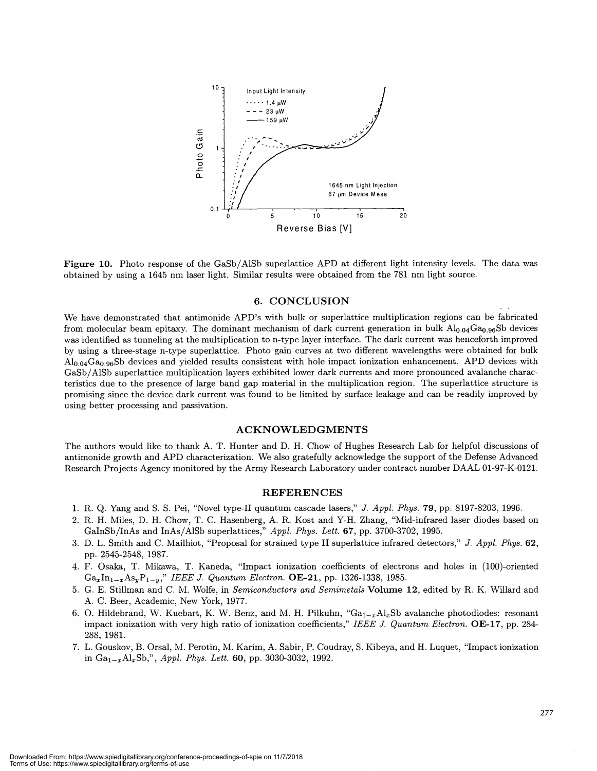

Figure 10. Photo response of the GaSb/A1Sb superlattice APD at different light intensity levels. The data was obtained by using a 1645 nm laser light. Similar results were obtained from the 781 nm light source.

#### 6. CONCLUSION

We have demonstrated that antimonide APD's with bulk or superlattice multiplication regions can be fabricated from molecular beam epitaxy. The dominant mechanism of dark current generation in bulk  $Al_{0.04}Ga_{0.96}Sb$  devices was identified as tunneling at the multiplication to n-type layer interface. The dark current was henceforth improved by using a three-stage n-type superlattice. Photo gain curves at two different wavelengths were obtained for bulk  $A_{0.04}Ga_{0.96}Sb$  devices and yielded results consistent with hole impact ionization enhancement. APD devices with GaSb/A1Sb superlattice multiplication layers exhibited lower dark currents and more pronounced avalanche characteristics due to the presence of large band gap material in the multiplication region. The superlattice structure is promising since the device dark current was found to be limited by surface leakage and can be readily improved by using better processing and passivation.

#### ACKNOWLEDGMENTS

The authors would like to thank A. T. Hunter and D. H. Chow of Hughes Research Lab for helpful discussions of antimonide growth and APD characterization. We also gratefully acknowledge the support of the Defense Advanced Research Projects Agency monitored by the Army Research Laboratory under contract number DAAL O1-97-K-0121.

#### REFERENCES

- 1. R. Q. Yang and S. S. Pei, "Novel type-TI quantum cascade lasers," J. Appi. Phys. 79, pp. 8197-8203, 1996.
- 2. R. H. Miles, D. H. Chow, T. C. Hasenberg, A. R. Kost and Y-H. Zhang, "Mid-infrared laser diodes based on GaInSb/InAs and InAs/A1Sb superlattices," Appi. Phys. Lett. 67, pp. 3700-3702, 1995.
- 3. D. L. Smith and C. Mailhiot, "Proposal for strained type II superlattice infrared detectors," J. Appi. Phys. 62, pp. 2545-2548, 1987.
- 4. F. Osaka, T. Mikawa, T. Kaneda, "Impact ionization coefficients of electrons and holes in (100)-oriented  $Ga_xIn_{1-x}As_yP_{1-y}$ ," IEEE J. Quantum Electron. **OE-21**, pp. 1326-1338, 1985.
- 5. G. E. Stillman and C. M. Wolfe, in Semiconductors and Semimetals Volume 12, edited by R. K. Willard and A. C. Beer, Academic, New York, 1977.
- 6. O. Hildebrand, W. Kuebart, K. W. Benz, and M. H. Pilkuhn, " $Ga_{1-x}Al_xSb$  avalanche photodiodes: resonant impact ionization with very high ratio of ionization coefficients," IEEE J. Quantum Electron. OE-17, pp. 284- 288, 1981.
- 7. L. Gouskov, B. Orsal, M. Perotin, M. Karim, A. Sabir, P. Coudray, S. Kibeya, and H. Luquet, "Impact ionization in  $Ga_{1-x}Al_xSb''$ , *Appl. Phys. Lett.* 60, pp. 3030-3032, 1992.